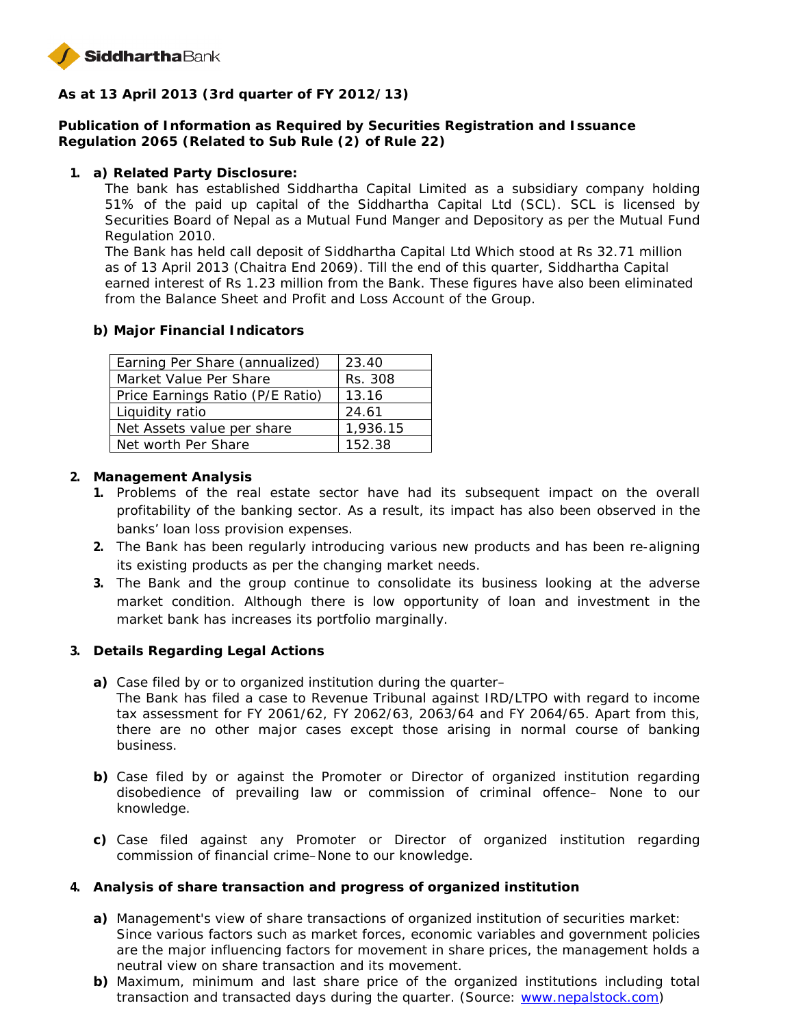

**As at 13 April 2013 (3rd quarter of FY 2012/13)**

**Publication of Information as Required by Securities Registration and Issuance Regulation 2065 (Related to Sub Rule (2) of Rule 22)**

**1. a) Related Party Disclosure:**

The bank has established Siddhartha Capital Limited as a subsidiary company holding 51% of the paid up capital of the Siddhartha Capital Ltd (SCL). SCL is licensed by Securities Board of Nepal as a Mutual Fund Manger and Depository as per the Mutual Fund Regulation 2010.

The Bank has held call deposit of Siddhartha Capital Ltd Which stood at Rs 32.71 million as of 13 April 2013 (Chaitra End 2069). Till the end of this quarter, Siddhartha Capital earned interest of Rs 1.23 million from the Bank. These figures have also been eliminated from the Balance Sheet and Profit and Loss Account of the Group.

**b) Major Financial Indicators**

| Earning Per Share (annualized)   | 23.40    |
|----------------------------------|----------|
| Market Value Per Share           | Rs. 308  |
| Price Earnings Ratio (P/E Ratio) | 13.16    |
| Liquidity ratio                  | 24.61    |
| Net Assets value per share       | 1,936.15 |
| Net worth Per Share              | 152.38   |

- **2. Management Analysis**
	- **1.** Problems of the real estate sector have had its subsequent impact on the overall profitability of the banking sector. As a result, its impact has also been observed in the banks' loan loss provision expenses.
	- **2.** The Bank has been regularly introducing various new products and has been re-aligning its existing products as per the changing market needs.
	- **3.** The Bank and the group continue to consolidate its business looking at the adverse market condition. Although there is low opportunity of loan and investment in the market bank has increases its portfolio marginally.
- **3. Details Regarding Legal Actions**
	- **a)** Case filed by or to organized institution during the quarter– The Bank has filed a case to Revenue Tribunal against IRD/LTPO with regard to income tax assessment for FY 2061/62, FY 2062/63, 2063/64 and FY 2064/65. Apart from this, there are no other major cases except those arising in normal course of banking business.
	- **b)** Case filed by or against the Promoter or Director of organized institution regarding disobedience of prevailing law or commission of criminal offence– None to our knowledge.
	- **c)** Case filed against any Promoter or Director of organized institution regarding commission of financial crime–None to our knowledge.
- **4. Analysis of share transaction and progress of organized institution**
	- **a)** Management's view of share transactions of organized institution of securities market: Since various factors such as market forces, economic variables and government policies are the major influencing factors for movement in share prices, the management holds a neutral view on share transaction and its movement.
	- **b)** Maximum, minimum and last share price of the organized institutions including total transaction and transacted days during the quarter. (Source: www.nepalstock.com)